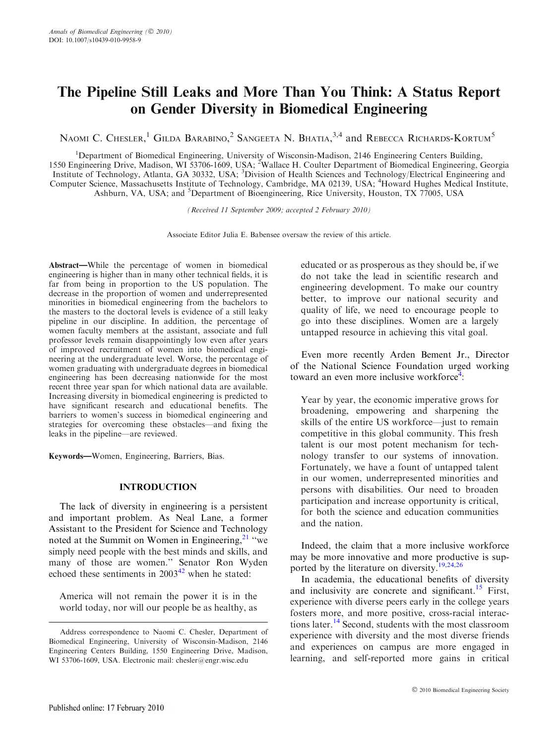# The Pipeline Still Leaks and More Than You Think: A Status Report on Gender Diversity in Biomedical Engineering

Naomi C. Chesler, <sup>1</sup> Gilda Barabino, <sup>2</sup> Sangeeta N. Bhatia, <sup>3,4</sup> and Rebecca Richards-Kortum<sup>5</sup>

<sup>1</sup>Department of Biomedical Engineering, University of Wisconsin-Madison, 2146 Engineering Centers Building, 1550 Engineering Drive, Madison, WI 53706-1609, USA; <sup>2</sup>Wallace H. Coulter Department of Biomedical Engineering, Georgia Institute of Technology, Atlanta, GA 30332, USA; <sup>3</sup>Division of Health Sciences and Technology/Electrical Engineering and Computer Science, Massachusetts Institute of Technology, Cambridge, MA 02139, USA; <sup>4</sup>Howard Hughes Medical Institute, Ashburn, VA, USA; and <sup>5</sup>Department of Bioengineering, Rice University, Houston, TX 77005, USA

(Received 11 September 2009; accepted 2 February 2010)

Associate Editor Julia E. Babensee oversaw the review of this article.

Abstract—While the percentage of women in biomedical engineering is higher than in many other technical fields, it is far from being in proportion to the US population. The decrease in the proportion of women and underrepresented minorities in biomedical engineering from the bachelors to the masters to the doctoral levels is evidence of a still leaky pipeline in our discipline. In addition, the percentage of women faculty members at the assistant, associate and full professor levels remain disappointingly low even after years of improved recruitment of women into biomedical engineering at the undergraduate level. Worse, the percentage of women graduating with undergraduate degrees in biomedical engineering has been decreasing nationwide for the most recent three year span for which national data are available. Increasing diversity in biomedical engineering is predicted to have significant research and educational benefits. The barriers to women's success in biomedical engineering and strategies for overcoming these obstacles—and fixing the leaks in the pipeline—are reviewed.

Keywords—Women, Engineering, Barriers, Bias.

## INTRODUCTION

The lack of diversity in engineering is a persistent and important problem. As Neal Lane, a former Assistant to the President for Science and Technology noted at the Summit on Women in Engineering,  $21 \text{``we}$  $21 \text{``we}$ simply need people with the best minds and skills, and many of those are women.'' Senator Ron Wyden echoed these sentiments in  $2003^{42}$  $2003^{42}$  $2003^{42}$  when he stated:

America will not remain the power it is in the world today, nor will our people be as healthy, as

educated or as prosperous as they should be, if we do not take the lead in scientific research and engineering development. To make our country better, to improve our national security and quality of life, we need to encourage people to go into these disciplines. Women are a largely untapped resource in achieving this vital goal.

Even more recently Arden Bement Jr., Director of the National Science Foundation urged working toward an even more inclusive workforce<sup>[4](#page-6-0)</sup>:

Year by year, the economic imperative grows for broadening, empowering and sharpening the skills of the entire US workforce—just to remain competitive in this global community. This fresh talent is our most potent mechanism for technology transfer to our systems of innovation. Fortunately, we have a fount of untapped talent in our women, underrepresented minorities and persons with disabilities. Our need to broaden participation and increase opportunity is critical, for both the science and education communities and the nation.

Indeed, the claim that a more inclusive workforce may be more innovative and more productive is sup-ported by the literature on diversity.<sup>[19,24,26](#page-7-0)</sup>

In academia, the educational benefits of diversity and inclusivity are concrete and significant.<sup>[15](#page-7-0)</sup> First, experience with diverse peers early in the college years fosters more, and more positive, cross-racial interac-tions later.<sup>[14](#page-7-0)</sup> Second, students with the most classroom experience with diversity and the most diverse friends and experiences on campus are more engaged in learning, and self-reported more gains in critical

Address correspondence to Naomi C. Chesler, Department of Biomedical Engineering, University of Wisconsin-Madison, 2146 Engineering Centers Building, 1550 Engineering Drive, Madison, WI 53706-1609, USA. Electronic mail: chesler@engr.wisc.edu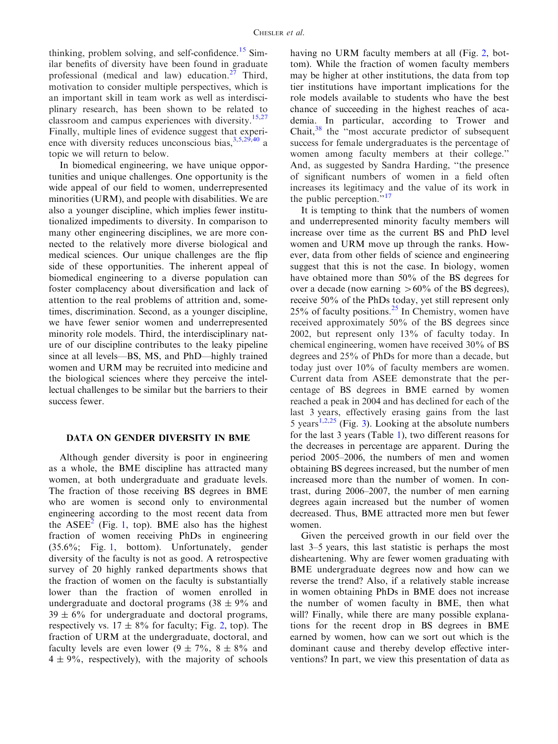thinking, problem solving, and self-confidence.<sup>[15](#page-7-0)</sup> Similar benefits of diversity have been found in graduate professional (medical and law) education. $27$  Third, motivation to consider multiple perspectives, which is an important skill in team work as well as interdisciplinary research, has been shown to be related to classroom and campus experiences with diversity.<sup>15,27</sup> Finally, multiple lines of evidence suggest that experience with diversity reduces unconscious bias,  $3,5,29,40$  $3,5,29,40$  a topic we will return to below.

In biomedical engineering, we have unique opportunities and unique challenges. One opportunity is the wide appeal of our field to women, underrepresented minorities (URM), and people with disabilities. We are also a younger discipline, which implies fewer institutionalized impediments to diversity. In comparison to many other engineering disciplines, we are more connected to the relatively more diverse biological and medical sciences. Our unique challenges are the flip side of these opportunities. The inherent appeal of biomedical engineering to a diverse population can foster complacency about diversification and lack of attention to the real problems of attrition and, sometimes, discrimination. Second, as a younger discipline, we have fewer senior women and underrepresented minority role models. Third, the interdisciplinary nature of our discipline contributes to the leaky pipeline since at all levels—BS, MS, and PhD—highly trained women and URM may be recruited into medicine and the biological sciences where they perceive the intellectual challenges to be similar but the barriers to their success fewer.

## DATA ON GENDER DIVERSITY IN BME

Although gender diversity is poor in engineering as a whole, the BME discipline has attracted many women, at both undergraduate and graduate levels. The fraction of those receiving BS degrees in BME who are women is second only to environmental engineering according to the most recent data from the  $ASEE<sup>2</sup>$  $ASEE<sup>2</sup>$  $ASEE<sup>2</sup>$  (Fig. [1](#page-2-0), top). BME also has the highest fraction of women receiving PhDs in engineering (35.6%; Fig. [1](#page-2-0), bottom). Unfortunately, gender diversity of the faculty is not as good. A retrospective survey of 20 highly ranked departments shows that the fraction of women on the faculty is substantially lower than the fraction of women enrolled in undergraduate and doctoral programs  $(38 \pm 9\%$  and  $39 \pm 6\%$  for undergraduate and doctoral programs, respectively vs.  $17 \pm 8\%$  for faculty; Fig. [2,](#page-3-0) top). The fraction of URM at the undergraduate, doctoral, and faculty levels are even lower  $(9 \pm 7\%, 8 \pm 8\%$  and  $4 \pm 9\%$ , respectively), with the majority of schools

having no URM faculty members at all (Fig. [2,](#page-3-0) bottom). While the fraction of women faculty members may be higher at other institutions, the data from top tier institutions have important implications for the role models available to students who have the best chance of succeeding in the highest reaches of academia. In particular, according to Trower and Chait, $38$  the "most accurate predictor of subsequent success for female undergraduates is the percentage of women among faculty members at their college.'' And, as suggested by Sandra Harding, ''the presence of significant numbers of women in a field often increases its legitimacy and the value of its work in the public perception. $117$  $117$ 

It is tempting to think that the numbers of women and underrepresented minority faculty members will increase over time as the current BS and PhD level women and URM move up through the ranks. However, data from other fields of science and engineering suggest that this is not the case. In biology, women have obtained more than 50% of the BS degrees for over a decade (now earning  $>60\%$  of the BS degrees), receive 50% of the PhDs today, yet still represent only [25](#page-7-0)% of faculty positions.<sup>25</sup> In Chemistry, women have received approximately 50% of the BS degrees since 2002, but represent only 13% of faculty today. In chemical engineering, women have received 30% of BS degrees and 25% of PhDs for more than a decade, but today just over 10% of faculty members are women. Current data from ASEE demonstrate that the percentage of BS degrees in BME earned by women reached a peak in 2004 and has declined for each of the last 3 years, effectively erasing gains from the last 5 years<sup>[1,2,](#page-6-0)[25](#page-7-0)</sup> (Fig. [3](#page-4-0)). Looking at the absolute numbers for the last 3 years (Table [1](#page-4-0)), two different reasons for the decreases in percentage are apparent. During the period 2005–2006, the numbers of men and women obtaining BS degrees increased, but the number of men increased more than the number of women. In contrast, during 2006–2007, the number of men earning degrees again increased but the number of women decreased. Thus, BME attracted more men but fewer women.

Given the perceived growth in our field over the last 3–5 years, this last statistic is perhaps the most disheartening. Why are fewer women graduating with BME undergraduate degrees now and how can we reverse the trend? Also, if a relatively stable increase in women obtaining PhDs in BME does not increase the number of women faculty in BME, then what will? Finally, while there are many possible explanations for the recent drop in BS degrees in BME earned by women, how can we sort out which is the dominant cause and thereby develop effective interventions? In part, we view this presentation of data as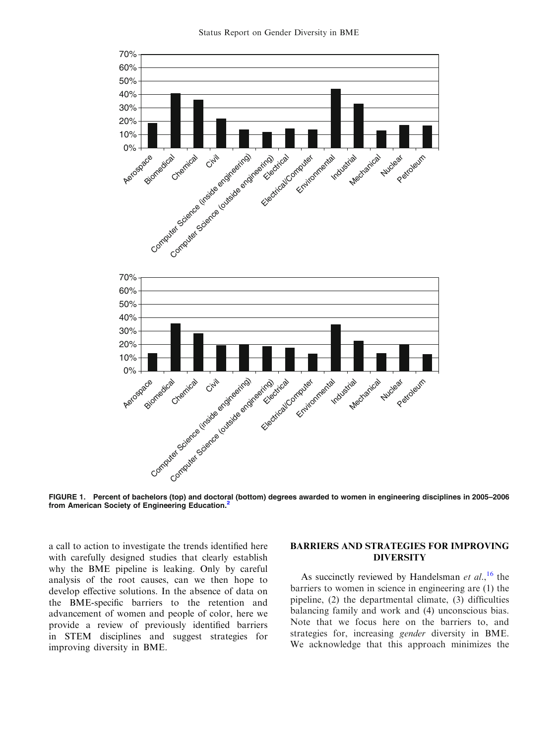<span id="page-2-0"></span>

FIGURE 1. Percent of bachelors (top) and doctoral (bottom) degrees awarded to women in engineering disciplines in 2005–2006 from American Society of Engineering Education.<sup>2</sup>

a call to action to investigate the trends identified here with carefully designed studies that clearly establish why the BME pipeline is leaking. Only by careful analysis of the root causes, can we then hope to develop effective solutions. In the absence of data on the BME-specific barriers to the retention and advancement of women and people of color, here we provide a review of previously identified barriers in STEM disciplines and suggest strategies for improving diversity in BME.

## BARRIERS AND STRATEGIES FOR IMPROVING **DIVERSITY**

As succinctly reviewed by Handelsman et  $al$ , <sup>[16](#page-7-0)</sup> the barriers to women in science in engineering are (1) the pipeline, (2) the departmental climate, (3) difficulties balancing family and work and (4) unconscious bias. Note that we focus here on the barriers to, and strategies for, increasing gender diversity in BME. We acknowledge that this approach minimizes the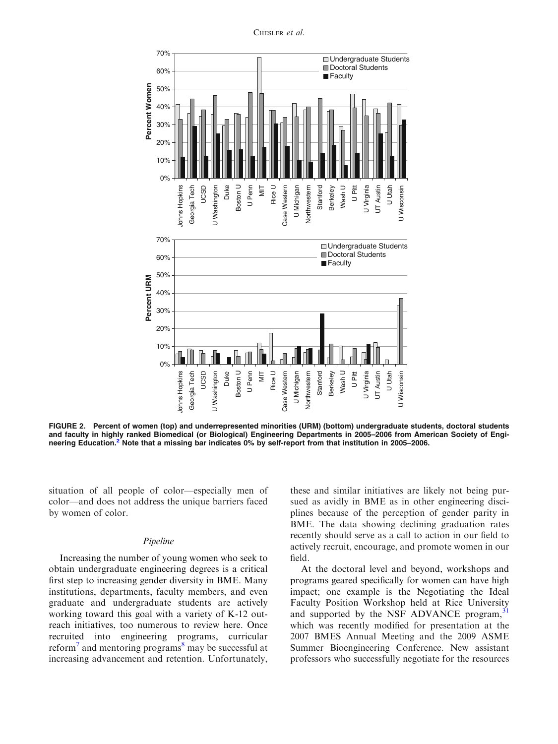CHESLER et al.

<span id="page-3-0"></span>

FIGURE 2. Percent of women (top) and underrepresented minorities (URM) (bottom) undergraduate students, doctoral students and faculty in highly ranked Biomedical (or Biological) Engineering Departments in 2005–2006 from American Society of Engineering Education.<sup>2</sup> Note that a missing bar indicates 0% by self-report from that institution in 2005–2006.

situation of all people of color—especially men of color—and does not address the unique barriers faced by women of color.

#### Pipeline

Increasing the number of young women who seek to obtain undergraduate engineering degrees is a critical first step to increasing gender diversity in BME. Many institutions, departments, faculty members, and even graduate and undergraduate students are actively working toward this goal with a variety of K-12 outreach initiatives, too numerous to review here. Once recruited into engineering programs, curricular reform<sup>[7](#page-7-0)</sup> and mentoring programs<sup>[8](#page-7-0)</sup> may be successful at increasing advancement and retention. Unfortunately, these and similar initiatives are likely not being pursued as avidly in BME as in other engineering disciplines because of the perception of gender parity in BME. The data showing declining graduation rates recently should serve as a call to action in our field to actively recruit, encourage, and promote women in our field.

At the doctoral level and beyond, workshops and programs geared specifically for women can have high impact; one example is the Negotiating the Ideal Faculty Position Workshop held at Rice University and supported by the NSF ADVANCE program, $31$ which was recently modified for presentation at the 2007 BMES Annual Meeting and the 2009 ASME Summer Bioengineering Conference. New assistant professors who successfully negotiate for the resources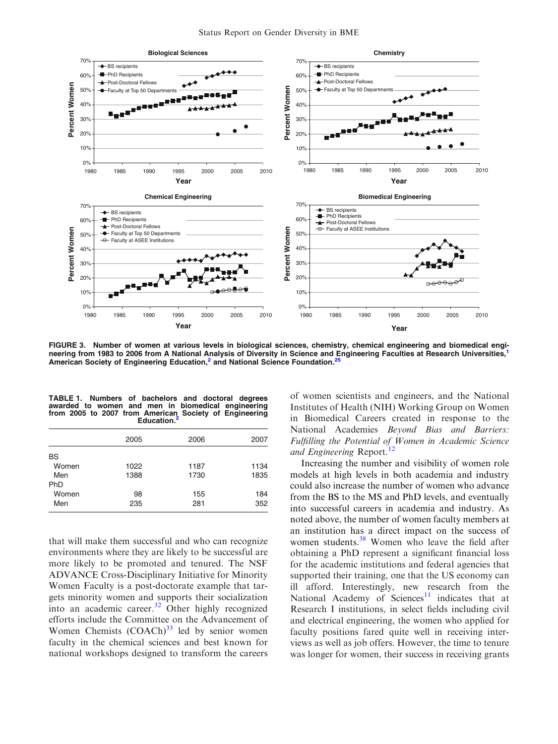<span id="page-4-0"></span>

FIGURE 3. Number of women at various levels in biological sciences, chemistry, chemical engineering and biomedical engineering from 1983 to 2006 from A National Analysis of Diversity in Science and Engineering Faculties at Research Universities,[1](#page-6-0) American Society of Engineering Education,<sup>2</sup> and National Science Foundation.<sup>2</sup>

|  |  |                         |  |  | TABLE 1. Numbers of bachelors and doctoral degrees     |
|--|--|-------------------------|--|--|--------------------------------------------------------|
|  |  |                         |  |  | awarded to women and men in biomedical engineering     |
|  |  |                         |  |  | from 2005 to 2007 from American Society of Engineering |
|  |  | Education. <sup>2</sup> |  |  |                                                        |

|           | 2005 | 2006 | 2007 |
|-----------|------|------|------|
| <b>BS</b> |      |      |      |
| Women     | 1022 | 1187 | 1134 |
| Men       | 1388 | 1730 | 1835 |
| PhD       |      |      |      |
| Women     | 98   | 155  | 184  |
| Men       | 235  | 281  | 352  |

that will make them successful and who can recognize environments where they are likely to be successful are more likely to be promoted and tenured. The NSF ADVANCE Cross-Disciplinary Initiative for Minority Women Faculty is a post-doctorate example that targets minority women and supports their socialization into an academic career.<sup>[32](#page-7-0)</sup> Other highly recognized efforts include the Committee on the Advancement of Women Chemists  $(COACh)^{33}$  $(COACh)^{33}$  $(COACh)^{33}$  led by senior women faculty in the chemical sciences and best known for national workshops designed to transform the careers of women scientists and engineers, and the National Institutes of Health (NIH) Working Group on Women in Biomedical Careers created in response to the National Academies Beyond Bias and Barriers: Fulfilling the Potential of Women in Academic Science and Engineering Report.<sup>[12](#page-7-0)</sup>

Increasing the number and visibility of women role models at high levels in both academia and industry could also increase the number of women who advance from the BS to the MS and PhD levels, and eventually into successful careers in academia and industry. As noted above, the number of women faculty members at an institution has a direct impact on the success of women students.<sup>38</sup> Women who leave the field after obtaining a PhD represent a significant financial loss for the academic institutions and federal agencies that supported their training, one that the US economy can ill afford. Interestingly, new research from the National Academy of Sciences<sup>[11](#page-7-0)</sup> indicates that at Research I institutions, in select fields including civil and electrical engineering, the women who applied for faculty positions fared quite well in receiving interviews as well as job offers. However, the time to tenure was longer for women, their success in receiving grants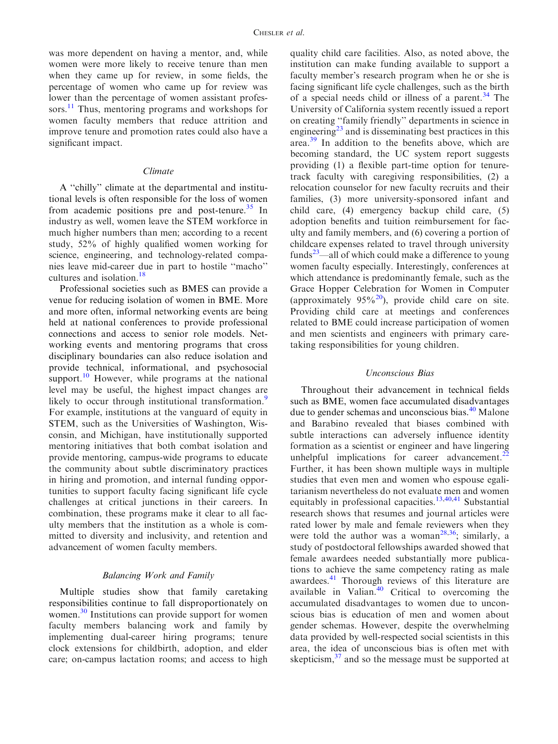was more dependent on having a mentor, and, while women were more likely to receive tenure than men when they came up for review, in some fields, the percentage of women who came up for review was lower than the percentage of women assistant profes-sors.<sup>[11](#page-7-0)</sup> Thus, mentoring programs and workshops for women faculty members that reduce attrition and improve tenure and promotion rates could also have a significant impact.

### Climate

A ''chilly'' climate at the departmental and institutional levels is often responsible for the loss of women from academic positions pre and post-tenure. $35$  In industry as well, women leave the STEM workforce in much higher numbers than men; according to a recent study, 52% of highly qualified women working for science, engineering, and technology-related companies leave mid-career due in part to hostile ''macho'' cultures and isolation.<sup>[18](#page-7-0)</sup>

Professional societies such as BMES can provide a venue for reducing isolation of women in BME. More and more often, informal networking events are being held at national conferences to provide professional connections and access to senior role models. Networking events and mentoring programs that cross disciplinary boundaries can also reduce isolation and provide technical, informational, and psychosocial support. $10$  However, while programs at the national level may be useful, the highest impact changes are likely to occur through institutional transformation.<sup>[9](#page-7-0)</sup> For example, institutions at the vanguard of equity in STEM, such as the Universities of Washington, Wisconsin, and Michigan, have institutionally supported mentoring initiatives that both combat isolation and provide mentoring, campus-wide programs to educate the community about subtle discriminatory practices in hiring and promotion, and internal funding opportunities to support faculty facing significant life cycle challenges at critical junctions in their careers. In combination, these programs make it clear to all faculty members that the institution as a whole is committed to diversity and inclusivity, and retention and advancement of women faculty members.

#### Balancing Work and Family

Multiple studies show that family caretaking responsibilities continue to fall disproportionately on women.<sup>30</sup> Institutions can provide support for women faculty members balancing work and family by implementing dual-career hiring programs; tenure clock extensions for childbirth, adoption, and elder care; on-campus lactation rooms; and access to high quality child care facilities. Also, as noted above, the institution can make funding available to support a faculty member's research program when he or she is facing significant life cycle challenges, such as the birth of a special needs child or illness of a parent.<sup>[34](#page-7-0)</sup> The University of California system recently issued a report on creating ''family friendly'' departments in science in engineering<sup>[23](#page-7-0)</sup> and is disseminating best practices in this area.<sup>[39](#page-7-0)</sup> In addition to the benefits above, which are becoming standard, the UC system report suggests providing (1) a flexible part-time option for tenuretrack faculty with caregiving responsibilities, (2) a relocation counselor for new faculty recruits and their families, (3) more university-sponsored infant and child care, (4) emergency backup child care, (5) adoption benefits and tuition reimbursement for faculty and family members, and (6) covering a portion of childcare expenses related to travel through university funds<sup>[23](#page-7-0)</sup>—all of which could make a difference to young women faculty especially. Interestingly, conferences at which attendance is predominantly female, such as the Grace Hopper Celebration for Women in Computer (approximately  $95\%^{20}$  $95\%^{20}$  $95\%^{20}$ ), provide child care on site. Providing child care at meetings and conferences related to BME could increase participation of women and men scientists and engineers with primary caretaking responsibilities for young children.

## Unconscious Bias

Throughout their advancement in technical fields such as BME, women face accumulated disadvantages due to gender schemas and unconscious bias.<sup>[40](#page-7-0)</sup> Malone and Barabino revealed that biases combined with subtle interactions can adversely influence identity formation as a scientist or engineer and have lingering unhelpful implications for career advancement. $^{22}$  $^{22}$  $^{22}$ Further, it has been shown multiple ways in multiple studies that even men and women who espouse egalitarianism nevertheless do not evaluate men and women equitably in professional capacities.<sup>[13,40,41](#page-7-0)</sup> Substantial research shows that resumes and journal articles were rated lower by male and female reviewers when they were told the author was a woman<sup>28,36</sup>; similarly, a study of postdoctoral fellowships awarded showed that female awardees needed substantially more publications to achieve the same competency rating as male awardees.<sup>[41](#page-7-0)</sup> Thorough reviews of this literature are available in Valian. $40$  Critical to overcoming the accumulated disadvantages to women due to unconscious bias is education of men and women about gender schemas. However, despite the overwhelming data provided by well-respected social scientists in this area, the idea of unconscious bias is often met with skepticism,  $37$  and so the message must be supported at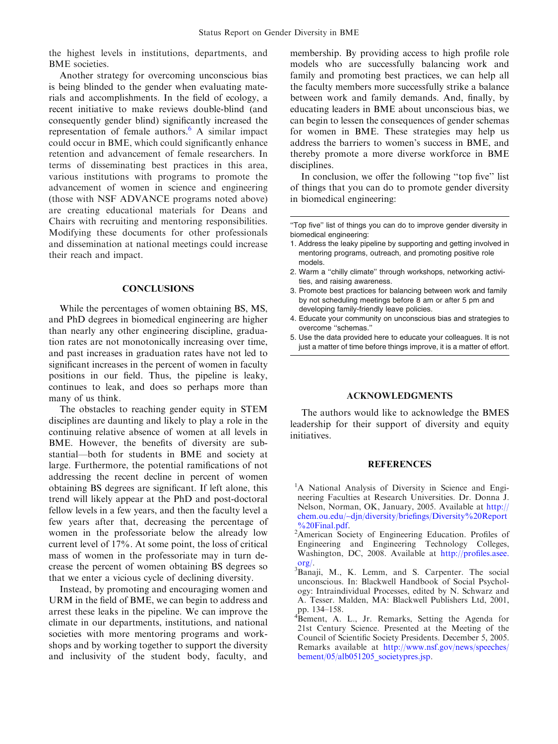<span id="page-6-0"></span>the highest levels in institutions, departments, and BME societies.

Another strategy for overcoming unconscious bias is being blinded to the gender when evaluating materials and accomplishments. In the field of ecology, a recent initiative to make reviews double-blind (and consequently gender blind) significantly increased the representation of female authors.<sup>[6](#page-7-0)</sup> A similar impact could occur in BME, which could significantly enhance retention and advancement of female researchers. In terms of disseminating best practices in this area, various institutions with programs to promote the advancement of women in science and engineering (those with NSF ADVANCE programs noted above) are creating educational materials for Deans and Chairs with recruiting and mentoring responsibilities. Modifying these documents for other professionals and dissemination at national meetings could increase their reach and impact.

#### **CONCLUSIONS**

While the percentages of women obtaining BS, MS, and PhD degrees in biomedical engineering are higher than nearly any other engineering discipline, graduation rates are not monotonically increasing over time, and past increases in graduation rates have not led to significant increases in the percent of women in faculty positions in our field. Thus, the pipeline is leaky, continues to leak, and does so perhaps more than many of us think.

The obstacles to reaching gender equity in STEM disciplines are daunting and likely to play a role in the continuing relative absence of women at all levels in BME. However, the benefits of diversity are substantial—both for students in BME and society at large. Furthermore, the potential ramifications of not addressing the recent decline in percent of women obtaining BS degrees are significant. If left alone, this trend will likely appear at the PhD and post-doctoral fellow levels in a few years, and then the faculty level a few years after that, decreasing the percentage of women in the professoriate below the already low current level of 17%. At some point, the loss of critical mass of women in the professoriate may in turn decrease the percent of women obtaining BS degrees so that we enter a vicious cycle of declining diversity.

Instead, by promoting and encouraging women and URM in the field of BME, we can begin to address and arrest these leaks in the pipeline. We can improve the climate in our departments, institutions, and national societies with more mentoring programs and workshops and by working together to support the diversity and inclusivity of the student body, faculty, and

membership. By providing access to high profile role models who are successfully balancing work and family and promoting best practices, we can help all the faculty members more successfully strike a balance between work and family demands. And, finally, by educating leaders in BME about unconscious bias, we can begin to lessen the consequences of gender schemas for women in BME. These strategies may help us address the barriers to women's success in BME, and thereby promote a more diverse workforce in BME disciplines.

In conclusion, we offer the following ''top five'' list of things that you can do to promote gender diversity in biomedical engineering:

''Top five'' list of things you can do to improve gender diversity in biomedical engineering:

- 1. Address the leaky pipeline by supporting and getting involved in mentoring programs, outreach, and promoting positive role models.
- 2. Warm a ''chilly climate'' through workshops, networking activities, and raising awareness.
- 3. Promote best practices for balancing between work and family by not scheduling meetings before 8 am or after 5 pm and developing family-friendly leave policies.
- 4. Educate your community on unconscious bias and strategies to overcome ''schemas.''
- 5. Use the data provided here to educate your colleagues. It is not just a matter of time before things improve, it is a matter of effort.

#### ACKNOWLEDGMENTS

The authors would like to acknowledge the BMES leadership for their support of diversity and equity initiatives.

## **REFERENCES**

- <sup>1</sup>A National Analysis of Diversity in Science and Engineering Faculties at Research Universities. Dr. Donna J. Nelson, Norman, OK, January, 2005. Available at [http://](http://chem.ou.edu/~djn/diversity/briefings/Diversity%20Report%20Final.pdf) chem.ou.edu/~[djn/diversity/briefings/Diversity%20Report](http://chem.ou.edu/~djn/diversity/briefings/Diversity%20Report%20Final.pdf) [%20Final.pdf](http://chem.ou.edu/~djn/diversity/briefings/Diversity%20Report%20Final.pdf).
- <sup>2</sup>American Society of Engineering Education. Profiles of Engineering and Engineering Technology Colleges, Washington, DC, 2008. Available at [http://profiles.asee.](http://profiles.asee.org/)  $\text{org}/.$
- <sup>3</sup>Banaji, M., K. Lemm, and S. Carpenter. The social unconscious. In: Blackwell Handbook of Social Psychology: Intraindividual Processes, edited by N. Schwarz and A. Tesser. Malden, MA: Blackwell Publishers Ltd, 2001,
- pp. 134–158. 4 Bement, A. L., Jr. Remarks, Setting the Agenda for 21st Century Science. Presented at the Meeting of the Council of Scientific Society Presidents. December 5, 2005. Remarks available at [http://www.nsf.gov/news/speeches/](http://www.nsf.gov/news/speeches/bement/05/alb051205_societypres.jsp) [bement/05/alb051205\\_societypres.jsp](http://www.nsf.gov/news/speeches/bement/05/alb051205_societypres.jsp).